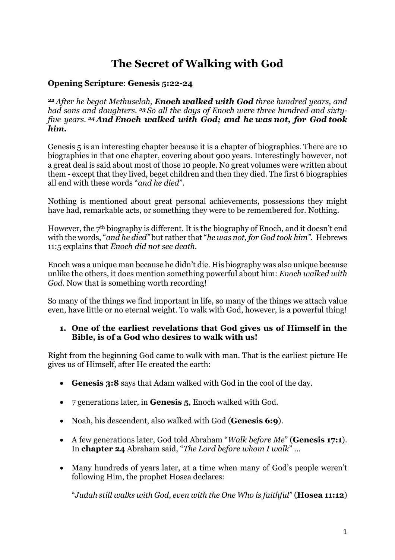# **The Secret of Walking with God**

#### **Opening Scripture**: **Genesis 5:22-24**

*<sup>22</sup> After he begot Methuselah, Enoch walked with God three hundred years, and had sons and daughters. <sup>23</sup> So all the days of Enoch were three hundred and sixtyfive years. <sup>24</sup> And Enoch walked with God; and he was not, for God took him.*

Genesis 5 is an interesting chapter because it is a chapter of biographies. There are 10 biographies in that one chapter, covering about 900 years. Interestingly however, not a great deal is said about most of those 10 people. No great volumes were written about them - except that they lived, beget children and then they died. The first 6 biographies all end with these words "*and he died*".

Nothing is mentioned about great personal achievements, possessions they might have had, remarkable acts, or something they were to be remembered for. Nothing.

However, the  $7<sup>th</sup>$  biography is different. It is the biography of Enoch, and it doesn't end with the words, "*and he died"* but rather that "*he was not, for God took him".* Hebrews 11:5 explains that *Enoch did not see death.*

Enoch was a unique man because he didn't die. His biography was also unique because unlike the others, it does mention something powerful about him: *Enoch walked with God*. Now that is something worth recording!

So many of the things we find important in life, so many of the things we attach value even, have little or no eternal weight. To walk with God, however, is a powerful thing!

#### **1. One of the earliest revelations that God gives us of Himself in the Bible, is of a God who desires to walk with us!**

Right from the beginning God came to walk with man. That is the earliest picture He gives us of Himself, after He created the earth:

- **Genesis 3:8** says that Adam walked with God in the cool of the day.
- 7 generations later, in **Genesis 5**, Enoch walked with God.
- Noah, his descendent, also walked with God (**Genesis 6:9**).
- A few generations later, God told Abraham "*Walk before Me*" (**Genesis 17:1**). In **chapter 24** Abraham said, "*The Lord before whom I walk*" …
- Many hundreds of years later, at a time when many of God's people weren't following Him, the prophet Hosea declares:

"*Judah still walks with God*, *even with the One Who is faithful*" (**Hosea 11:12**)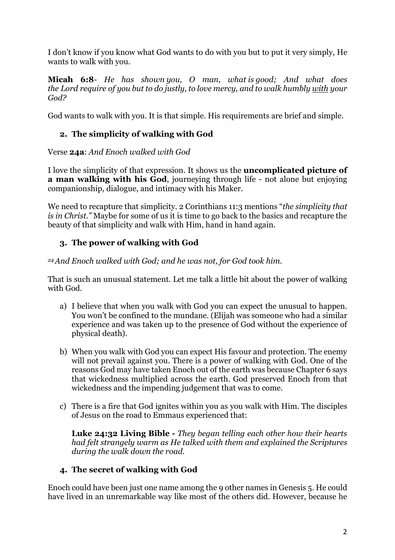I don't know if you know what God wants to do with you but to put it very simply, He wants to walk with you.

**[Micah 6:8](https://www.biblegateway.com/passage/?search=Micah%206%3A8&version=NKJV)**- *He has shown you, O man, what is good; And what does the Lord require of you but to do justly, to love mercy, and to walk humbly with your God?*

God wants to walk with you. It is that simple. His requirements are brief and simple.

# **2. The simplicity of walking with God**

Verse **24a**: *And Enoch walked with God*

I love the simplicity of that expression. It shows us the **uncomplicated picture of a man walking with his God**, journeying through life - not alone but enjoying companionship, dialogue, and intimacy with his Maker.

We need to recapture that simplicity. 2 Corinthians 11:3 mentions "*the simplicity that is in Christ."* Maybe for some of us it is time to go back to the basics and recapture the beauty of that simplicity and walk with Him, hand in hand again.

# **3. The power of walking with God**

*24And Enoch walked with God; and he was not, for God took him.*

That is such an unusual statement. Let me talk a little bit about the power of walking with God.

- a) I believe that when you walk with God you can expect the unusual to happen. You won't be confined to the mundane. (Elijah was someone who had a similar experience and was taken up to the presence of God without the experience of physical death).
- b) When you walk with God you can expect His favour and protection. The enemy will not prevail against you. There is a power of walking with God. One of the reasons God may have taken Enoch out of the earth was because Chapter 6 says that wickedness multiplied across the earth. God preserved Enoch from that wickedness and the impending judgement that was to come.
- c) There is a fire that God ignites within you as you walk with Him. The disciples of Jesus on the road to Emmaus experienced that:

**Luke 24:32 Living Bible -** *They began telling each other how their hearts had felt strangely warm as He talked with them and explained the Scriptures during the walk down the road.*

#### **4. The secret of walking with God**

Enoch could have been just one name among the 9 other names in Genesis 5. He could have lived in an unremarkable way like most of the others did. However, because he